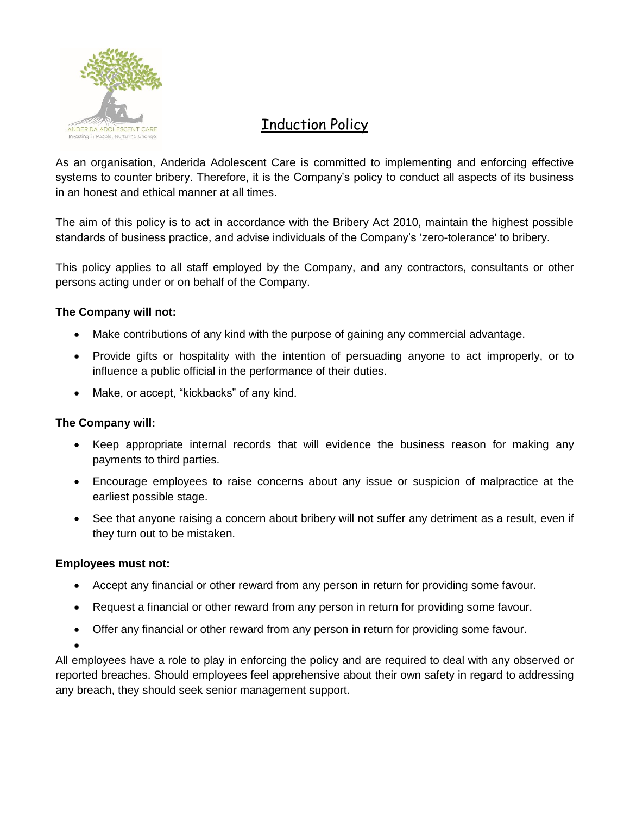

# Induction Policy

As an organisation, Anderida Adolescent Care is committed to implementing and enforcing effective systems to counter bribery. Therefore, it is the Company's policy to conduct all aspects of its business in an honest and ethical manner at all times.

The aim of this policy is to act in accordance with the Bribery Act 2010, maintain the highest possible standards of business practice, and advise individuals of the Company's 'zero-tolerance' to bribery.

This policy applies to all staff employed by the Company, and any contractors, consultants or other persons acting under or on behalf of the Company.

## **The Company will not:**

- Make contributions of any kind with the purpose of gaining any commercial advantage.
- Provide gifts or hospitality with the intention of persuading anyone to act improperly, or to influence a public official in the performance of their duties.
- Make, or accept, "kickbacks" of any kind.

### **The Company will:**

- Keep appropriate internal records that will evidence the business reason for making any payments to third parties.
- Encourage employees to raise concerns about any issue or suspicion of malpractice at the earliest possible stage.
- See that anyone raising a concern about bribery will not suffer any detriment as a result, even if they turn out to be mistaken.

### **Employees must not:**

- Accept any financial or other reward from any person in return for providing some favour.
- Request a financial or other reward from any person in return for providing some favour.
- Offer any financial or other reward from any person in return for providing some favour.
- •

All employees have a role to play in enforcing the policy and are required to deal with any observed or reported breaches. Should employees feel apprehensive about their own safety in regard to addressing any breach, they should seek senior management support.